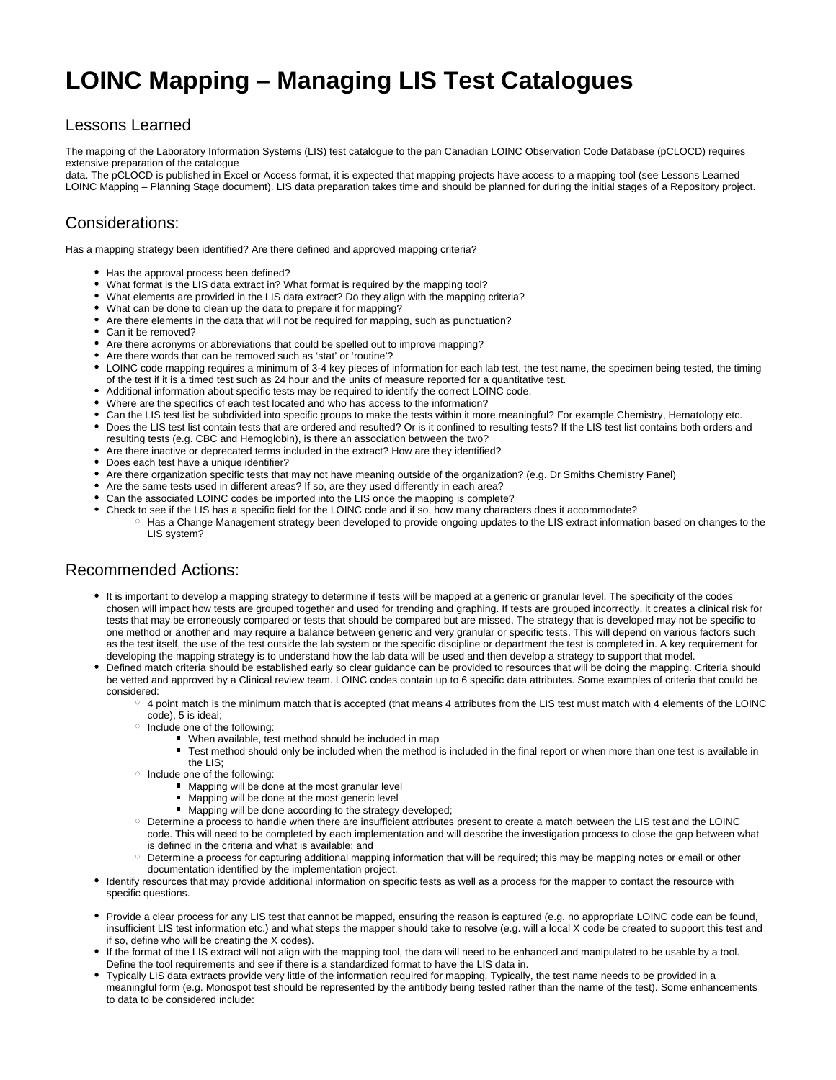# **LOINC Mapping – Managing LIS Test Catalogues**

#### Lessons Learned

The mapping of the Laboratory Information Systems (LIS) test catalogue to the pan Canadian LOINC Observation Code Database (pCLOCD) requires extensive preparation of the catalogue

data. The pCLOCD is published in Excel or Access format, it is expected that mapping projects have access to a mapping tool (see Lessons Learned LOINC Mapping – Planning Stage document). LIS data preparation takes time and should be planned for during the initial stages of a Repository project.

## Considerations:

Has a mapping strategy been identified? Are there defined and approved mapping criteria?

- Has the approval process been defined?
- What format is the LIS data extract in? What format is required by the mapping tool?
- What elements are provided in the LIS data extract? Do they align with the mapping criteria?
- What can be done to clean up the data to prepare it for mapping?
- Are there elements in the data that will not be required for mapping, such as punctuation?
- Can it be removed?
- Are there acronyms or abbreviations that could be spelled out to improve mapping?
- Are there words that can be removed such as 'stat' or 'routine'?
- LOINC code mapping requires a minimum of 3-4 key pieces of information for each lab test, the test name, the specimen being tested, the timing of the test if it is a timed test such as 24 hour and the units of measure reported for a quantitative test.
- Additional information about specific tests may be required to identify the correct LOINC code.
- Where are the specifics of each test located and who has access to the information?
- Can the LIS test list be subdivided into specific groups to make the tests within it more meaningful? For example Chemistry, Hematology etc.
- Does the LIS test list contain tests that are ordered and resulted? Or is it confined to resulting tests? If the LIS test list contains both orders and resulting tests (e.g. CBC and Hemoglobin), is there an association between the two?
- Are there inactive or deprecated terms included in the extract? How are they identified?
- Does each test have a unique identifier?
- Are there organization specific tests that may not have meaning outside of the organization? (e.g. Dr Smiths Chemistry Panel)
- Are the same tests used in different areas? If so, are they used differently in each area?
- Can the associated LOINC codes be imported into the LIS once the mapping is complete?
- Check to see if the LIS has a specific field for the LOINC code and if so, how many characters does it accommodate?
	- $\circ$  Has a Change Management strategy been developed to provide ongoing updates to the LIS extract information based on changes to the LIS system?

#### Recommended Actions:

- It is important to develop a mapping strategy to determine if tests will be mapped at a generic or granular level. The specificity of the codes chosen will impact how tests are grouped together and used for trending and graphing. If tests are grouped incorrectly, it creates a clinical risk for tests that may be erroneously compared or tests that should be compared but are missed. The strategy that is developed may not be specific to one method or another and may require a balance between generic and very granular or specific tests. This will depend on various factors such as the test itself, the use of the test outside the lab system or the specific discipline or department the test is completed in. A key requirement for developing the mapping strategy is to understand how the lab data will be used and then develop a strategy to support that model.
- Defined match criteria should be established early so clear guidance can be provided to resources that will be doing the mapping. Criteria should be vetted and approved by a Clinical review team. LOINC codes contain up to 6 specific data attributes. Some examples of criteria that could be considered:
	- $\circ$  4 point match is the minimum match that is accepted (that means 4 attributes from the LIS test must match with 4 elements of the LOINC code), 5 is ideal;
	- o Include one of the following:
		- When available, test method should be included in map
			- Test method should only be included when the method is included in the final report or when more than one test is available in the LIS;
	- $\circ$  Include one of the following:
		- **Mapping will be done at the most granular level**
		- **Mapping will be done at the most generic level**
		- Mapping will be done according to the strategy developed;
	- Determine a process to handle when there are insufficient attributes present to create a match between the LIS test and the LOINC code. This will need to be completed by each implementation and will describe the investigation process to close the gap between what is defined in the criteria and what is available; and
	- Determine a process for capturing additional mapping information that will be required; this may be mapping notes or email or other documentation identified by the implementation project.
- Identify resources that may provide additional information on specific tests as well as a process for the mapper to contact the resource with specific questions.
- Provide a clear process for any LIS test that cannot be mapped, ensuring the reason is captured (e.g. no appropriate LOINC code can be found, insufficient LIS test information etc.) and what steps the mapper should take to resolve (e.g. will a local X code be created to support this test and if so, define who will be creating the X codes).
- If the format of the LIS extract will not align with the mapping tool, the data will need to be enhanced and manipulated to be usable by a tool. Define the tool requirements and see if there is a standardized format to have the LIS data in.
- Typically LIS data extracts provide very little of the information required for mapping. Typically, the test name needs to be provided in a meaningful form (e.g. Monospot test should be represented by the antibody being tested rather than the name of the test). Some enhancements to data to be considered include: